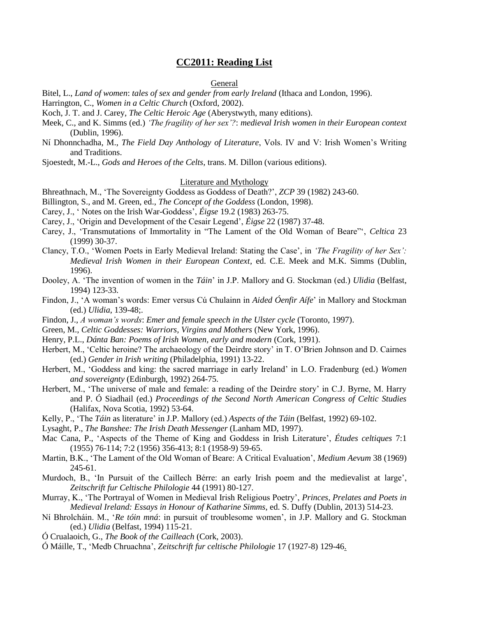# **CC2011: Reading List**

#### General

Bitel, L., *Land of women*: *tales of sex and gender from early Ireland* (Ithaca and London, 1996).

Harrington, C., *Women in a Celtic Church* (Oxford, 2002).

Koch, J. T. and J. Carey, *The Celtic Heroic Age* (Aberystwyth, many editions).

- Meek, C., and K. Simms (ed.) *'The fragility of her sex'?*: *medieval Irish women in their European context* (Dublin, 1996).
- Ní Dhonnchadha, M., *The Field Day Anthology of Literature*, Vols. IV and V: Irish Women's Writing and Traditions.

Sjoestedt, M.-L., *Gods and Heroes of the Celts*, trans. M. Dillon (various editions).

## Literature and Mythology

- Bhreathnach, M., 'The Sovereignty Goddess as Goddess of Death?', *ZCP* 39 (1982) 243-60.
- Billington, S., and M. Green, ed., *The Concept of the Goddess* (London, 1998).
- Carey, J., ' Notes on the Irish War-Goddess', *Éigse* 19.2 (1983) 263-75.
- Carey, J., 'Origin and Development of the Cesair Legend', *Éigse* 22 (1987) 37-48.
- Carey, J., 'Transmutations of Immortality in "The Lament of the Old Woman of Beare"', *Celtica* 23 (1999) 30-37.
- Clancy, T.O., 'Women Poets in Early Medieval Ireland: Stating the Case', in *'The Fragility of her Sex': Medieval Irish Women in their European Context*, ed. C.E. Meek and M.K. Simms (Dublin, 1996).
- Dooley, A. 'The invention of women in the *Táin*' in J.P. Mallory and G. Stockman (ed.) *Ulidia* (Belfast, 1994) 123-33.
- Findon, J., 'A woman's words: Emer versus Cú Chulainn in *Aided Óenfir Aífe*' in Mallory and Stockman (ed.) *Ulidia*, 139-48;.
- Findon, J., *A woman's words*: *Emer and female speech in the Ulster cycle* (Toronto, 1997).
- Green, M., *Celtic Goddesses: Warriors, Virgins and Mothers* (New York, 1996).
- Henry, P.L., *Dánta Ban: Poems of Irish Women, early and modern* (Cork, 1991).
- Herbert, M., 'Celtic heroine? The archaeology of the Deirdre story' in T. O'Brien Johnson and D. Cairnes (ed.) *Gender in Irish writing* (Philadelphia, 1991) 13-22.
- Herbert, M., 'Goddess and king: the sacred marriage in early Ireland' in L.O. Fradenburg (ed.) *Women and sovereignty* (Edinburgh, 1992) 264-75.
- Herbert, M., 'The universe of male and female: a reading of the Deirdre story' in C.J. Byrne, M. Harry and P. Ó Siadhail (ed.) *Proceedings of the Second North American Congress of Celtic Studies* (Halifax, Nova Scotia, 1992) 53-64.
- Kelly, P., 'The *Táin* as literature' in J.P. Mallory (ed.) *Aspects of the Táin* (Belfast, 1992) 69-102.
- Lysaght, P., *The Banshee: The Irish Death Messenger* (Lanham MD, 1997).
- Mac Cana, P., 'Aspects of the Theme of King and Goddess in Irish Literature', *Études celtiques* 7:1 (1955) 76-114; 7:2 (1956) 356-413; 8:1 (1958-9) 59-65.
- Martin, B.K., 'The Lament of the Old Woman of Beare: A Critical Evaluation', *Medium Aevum* 38 (1969) 245-61.
- Murdoch, B., 'In Pursuit of the Caillech Bérre: an early Irish poem and the medievalist at large', *Zeitschrift fur Celtische Philologie* 44 (1991) 80-127.
- Murray, K., 'The Portrayal of Women in Medieval Irish Religious Poetry', *Princes, Prelates and Poets in Medieval Ireland: Essays in Honour of Katharine Simms*, ed. S. Duffy (Dublin, 2013) 514-23.
- Ní Bhrolcháin. M., '*Re tóin mná*: in pursuit of troublesome women', in J.P. Mallory and G. Stockman (ed.) *Ulidia* (Belfast, 1994) 115-21.
- Ó Crualaoich, G., *The Book of the Cailleach* (Cork, 2003).
- Ó Máille, T., 'Medb Chruachna', *Zeitschrift fur celtische Philologie* 17 (1927-8) 129-46.